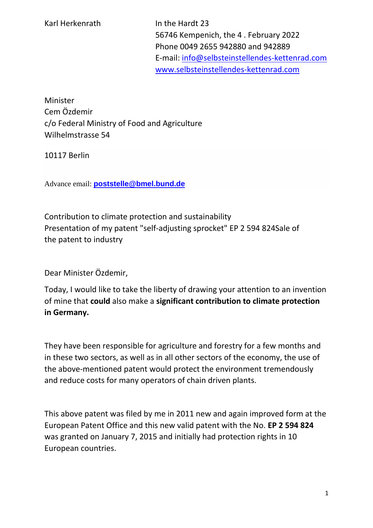56746 Kempenich, the 4 . February 2022 Phone 0049 2655 942880 and 942889 E-mail: [info@selbsteinstellendes-kettenrad.com](mailto:info@selbsteinstellendes-kettenrad.com) [www.selbsteinstellendes-kettenrad.com](http://www.selbsteinstellendes-kettenrad.com/)

Minister Cem Özdemir c/o Federal Ministry of Food and Agriculture Wilhelmstrasse 54

10117 Berlin

Advance email: **[poststelle@bmel.bund.de](mailto:poststelle@bmel.bund.de)**

Contribution to climate protection and sustainability Presentation of my patent "self-adjusting sprocket" EP 2 594 824Sale of the patent to industry

Dear Minister Özdemir,

Today, I would like to take the liberty of drawing your attention to an invention of mine that **could** also make a **significant contribution to climate protection in Germany.**

They have been responsible for agriculture and forestry for a few months and in these two sectors, as well as in all other sectors of the economy, the use of the above-mentioned patent would protect the environment tremendously and reduce costs for many operators of chain driven plants.

This above patent was filed by me in 2011 new and again improved form at the European Patent Office and this new valid patent with the No. **EP 2 594 824**  was granted on January 7, 2015 and initially had protection rights in 10 European countries.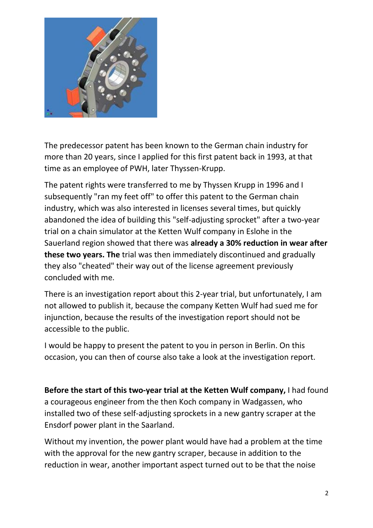

The predecessor patent has been known to the German chain industry for more than 20 years, since I applied for this first patent back in 1993, at that time as an employee of PWH, later Thyssen-Krupp.

The patent rights were transferred to me by Thyssen Krupp in 1996 and I subsequently "ran my feet off" to offer this patent to the German chain industry, which was also interested in licenses several times, but quickly abandoned the idea of building this "self-adjusting sprocket" after a two-year trial on a chain simulator at the Ketten Wulf company in Eslohe in the Sauerland region showed that there was **already a 30% reduction in wear after these two years. The** trial was then immediately discontinued and gradually they also "cheated" their way out of the license agreement previously concluded with me.

There is an investigation report about this 2-year trial, but unfortunately, I am not allowed to publish it, because the company Ketten Wulf had sued me for injunction, because the results of the investigation report should not be accessible to the public.

I would be happy to present the patent to you in person in Berlin. On this occasion, you can then of course also take a look at the investigation report.

**Before the start of this two-year trial at the Ketten Wulf company,** I had found a courageous engineer from the then Koch company in Wadgassen, who installed two of these self-adjusting sprockets in a new gantry scraper at the Ensdorf power plant in the Saarland.

Without my invention, the power plant would have had a problem at the time with the approval for the new gantry scraper, because in addition to the reduction in wear, another important aspect turned out to be that the noise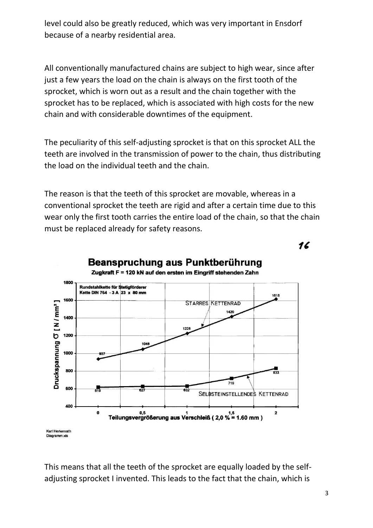level could also be greatly reduced, which was very important in Ensdorf because of a nearby residential area.

All conventionally manufactured chains are subject to high wear, since after just a few years the load on the chain is always on the first tooth of the sprocket, which is worn out as a result and the chain together with the sprocket has to be replaced, which is associated with high costs for the new chain and with considerable downtimes of the equipment.

The peculiarity of this self-adjusting sprocket is that on this sprocket ALL the teeth are involved in the transmission of power to the chain, thus distributing the load on the individual teeth and the chain.

The reason is that the teeth of this sprocket are movable, whereas in a conventional sprocket the teeth are rigid and after a certain time due to this wear only the first tooth carries the entire load of the chain, so that the chain must be replaced already for safety reasons.

16



## Beanspruchung aus Punktberührung

Karl Herkenrath Diagramm.xls

This means that all the teeth of the sprocket are equally loaded by the selfadjusting sprocket I invented. This leads to the fact that the chain, which is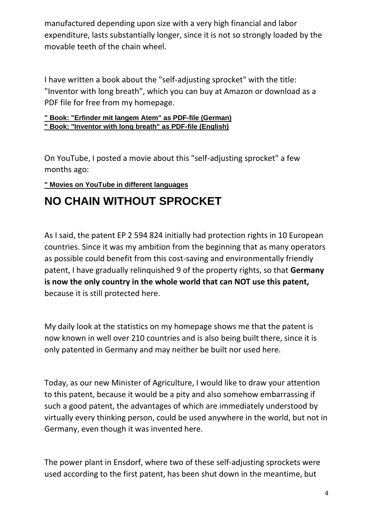manufactured depending upon size with a very high financial and labor expenditure, lasts substantially longer, since it is not so strongly loaded by the movable teeth of the chain wheel.

I have written a book about the "self-adjusting sprocket" with the title: "Inventor with long breath", which you can buy at Amazon or download as a PDF file for free from my homepage.

## **[" Book: "Erfinder mit langem Atem" as PDF-file \(German\)](https://selbsteinstellendes-kettenrad.com/downloads/Erfinder-mit-langem-Atem---ebook-mit-Rueckseite.pdf) [" Book: "Inventor with long breath" as PDF-file \(English\)](https://selbsteinstellendes-kettenrad.com/downloads/Erfinder-mit-langem-Atem---Englisch.pdf)**

On YouTube, I posted a movie about this "self-adjusting sprocket" a few months ago:

## **[" Movies on YouTube in different languages](https://www.selbsteinstellendes-kettenrad.com/yt.php)**

## **NO CHAIN WITHOUT SPROCKET**

As I said, the patent EP 2 594 824 initially had protection rights in 10 European countries. Since it was my ambition from the beginning that as many operators as possible could benefit from this cost-saving and environmentally friendly patent, I have gradually relinquished 9 of the property rights, so that **Germany is now the only country in the whole world that can NOT use this patent,**  because it is still protected here.

My daily look at the statistics on my homepage shows me that the patent is now known in well over 210 countries and is also being built there, since it is only patented in Germany and may neither be built nor used here.

Today, as our new Minister of Agriculture, I would like to draw your attention to this patent, because it would be a pity and also somehow embarrassing if such a good patent, the advantages of which are immediately understood by virtually every thinking person, could be used anywhere in the world, but not in Germany, even though it was invented here.

The power plant in Ensdorf, where two of these self-adjusting sprockets were used according to the first patent, has been shut down in the meantime, but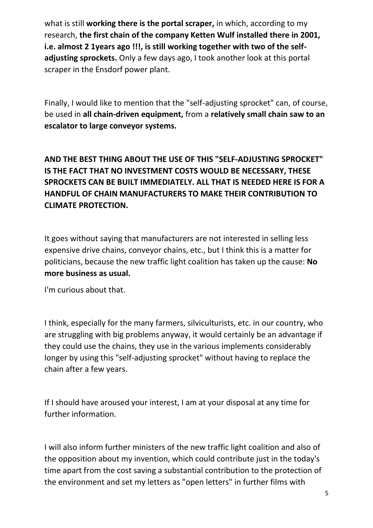what is still **working there is the portal scraper,** in which, according to my research, **the first chain of the company Ketten Wulf installed there in 2001, i.e. almost 2 1years ago !!!, is still working together with two of the selfadjusting sprockets.** Only a few days ago, I took another look at this portal scraper in the Ensdorf power plant.

Finally, I would like to mention that the "self-adjusting sprocket" can, of course, be used in **all chain-driven equipment,** from a **relatively small chain saw to an escalator to large conveyor systems.** 

**AND THE BEST THING ABOUT THE USE OF THIS "SELF-ADJUSTING SPROCKET" IS THE FACT THAT NO INVESTMENT COSTS WOULD BE NECESSARY, THESE SPROCKETS CAN BE BUILT IMMEDIATELY. ALL THAT IS NEEDED HERE IS FOR A HANDFUL OF CHAIN MANUFACTURERS TO MAKE THEIR CONTRIBUTION TO CLIMATE PROTECTION.** 

It goes without saying that manufacturers are not interested in selling less expensive drive chains, conveyor chains, etc., but I think this is a matter for politicians, because the new traffic light coalition has taken up the cause: **No more business as usual.**

I'm curious about that.

I think, especially for the many farmers, silviculturists, etc. in our country, who are struggling with big problems anyway, it would certainly be an advantage if they could use the chains, they use in the various implements considerably longer by using this "self-adjusting sprocket" without having to replace the chain after a few years.

If I should have aroused your interest, I am at your disposal at any time for further information.

I will also inform further ministers of the new traffic light coalition and also of the opposition about my invention, which could contribute just in the today's time apart from the cost saving a substantial contribution to the protection of the environment and set my letters as "open letters" in further films with